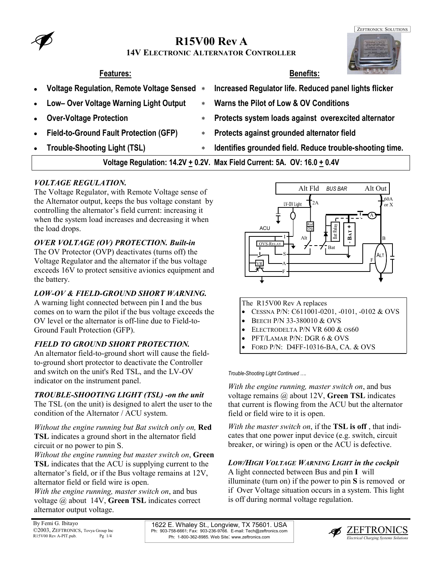## **R15V00 Rev A**

#### **14V ELECTRONIC ALTERNATOR CONTROLLER**

- 
- **Low– Over Voltage Warning Light Output** ∗ **Warns the Pilot of Low & OV Conditions**
- 
- 
- 
- **Features: Benefits:**
- **Voltage Regulation, Remote Voltage Sensed** ∗ **Increased Regulator life. Reduced panel lights flicker** 
	-
- **Over-Voltage Protection** ∗ **Protects system loads against overexcited alternator**
- **Field-to-Ground Fault Protection (GFP)** ∗ **Protects against grounded alternator field**
- **Trouble-Shooting Light (TSL)** ∗ **Identifies grounded field. Reduce trouble-shooting time.**

**Voltage Regulation: 14.2V + 0.2V. Max Field Current: 5A. OV: 16.0 + 0.4V** 

#### *VOLTAGE REGULATION.*

The Voltage Regulator, with Remote Voltage sense of the Alternator output, keeps the bus voltage constant by controlling the alternator's field current: increasing it when the system load increases and decreasing it when the load drops.

#### *OVER VOLTAGE (OV) PROTECTION. Built-in*

The OV Protector (OVP) deactivates (turns off) the Voltage Regulator and the alternator if the bus voltage exceeds 16V to protect sensitive avionics equipment and the battery.

#### *LOW-OV & FIELD-GROUND SHORT WARNING.*

A warning light connected between pin I and the bus comes on to warn the pilot if the bus voltage exceeds the OV level or the alternator is off-line due to Field-to-Ground Fault Protection (GFP).

#### *FIELD TO GROUND SHORT PROTECTION.*

An alternator field-to-ground short will cause the fieldto-ground short protector to deactivate the Controller and switch on the unit's Red TSL, and the LV-OV indicator on the instrument panel.

#### *TROUBLE-SHOOTING LIGHT (TSL) -on the unit*

The TSL (on the unit) is designed to alert the user to the condition of the Alternator / ACU system.

*Without the engine running but Bat switch only on,* **Red TSL** indicates a ground short in the alternator field circuit or no power to pin S.

*Without the engine running but master switch on*, **Green TSL** indicates that the ACU is supplying current to the alternator's field, or if the Bus voltage remains at 12V, alternator field or field wire is open.

*With the engine running, master switch on*, and bus voltage @ about 14V, **Green TSL** indicates correct alternator output voltage.



The R15V00 Rev A replaces

- CESSNA P/N: C611001-0201, -0101, -0102 & OVS
- BEECH P/N 33-380010 & OVS
- ELECTRODELTA P/N VR 600 & OS60
- PFT/LAMAR P/N: DGR 6 & OVS
- FORD P/N: D4FF-10316-BA, CA. & OVS

*Trouble-Shooting Light Continued ….* 

*With the engine running, master switch on*, and bus voltage remains @ about 12V, **Green TSL** indicates that current is flowing from the ACU but the alternator field or field wire to it is open.

*With the master switch on*, if the **TSL is off** , that indicates that one power input device (e.g. switch, circuit breaker, or wiring) is open or the ACU is defective.

#### *LOW/HIGH VOLTAGE WARNING LIGHT in the cockpit*

A light connected between Bus and pin **I** will illuminate (turn on) if the power to pin **S** is removed or if Over Voltage situation occurs in a system. This light is off during normal voltage regulation.

1622 E. Whaley St., Longview, TX 75601. USA Ph: 903-758-6661; Fax: 903-236-9766. E-mail: Tech@zeftronics.com Ph: 1-800-362-8985. Web Site: www.zeftronics.com



ZEFTRONICS: SOLUTIONS

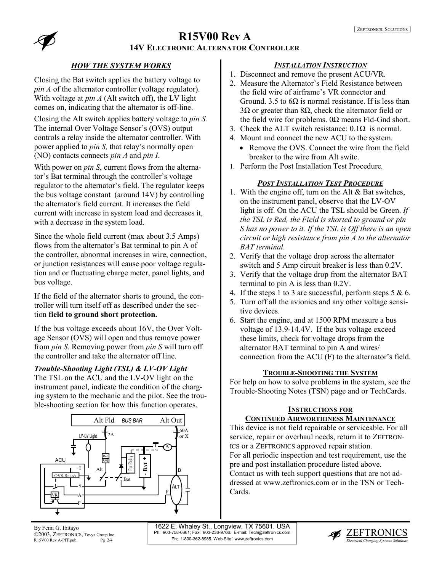# **R15V00 Rev A**



**14V ELECTRONIC ALTERNATOR CONTROLLER**

#### *HOW THE SYSTEM WORKS*

Closing the Bat switch applies the battery voltage to *pin A* of the alternator controller (voltage regulator). With voltage at *pin A* (Alt switch off), the LV light comes on, indicating that the alternator is off-line.

Closing the Alt switch applies battery voltage to *pin S.* The internal Over Voltage Sensor's (OVS) output controls a relay inside the alternator controller. With power applied to *pin S,* that relay's normally open (NO) contacts connects *pin A* and *pin I*.

With power on *pin S*, current flows from the alternator's Bat terminal through the controller's voltage regulator to the alternator's field. The regulator keeps the bus voltage constant (around 14V) by controlling the alternator's field current. It increases the field current with increase in system load and decreases it, with a decrease in the system load.

Since the whole field current (max about 3.5 Amps) flows from the alternator's Bat terminal to pin A of the controller, abnormal increases in wire, connection, or junction resistances will cause poor voltage regulation and or fluctuating charge meter, panel lights, and bus voltage.

If the field of the alternator shorts to ground, the controller will turn itself off as described under the section **field to ground short protection.** 

If the bus voltage exceeds about 16V, the Over Voltage Sensor (OVS) will open and thus remove power from *pin S*. Removing power from *pin S* will turn off the controller and take the alternator off line.

#### *Trouble-Shooting Light (TSL) & LV-OV Light*

The TSL on the ACU and the LV-OV light on the instrument panel, indicate the condition of the charging system to the mechanic and the pilot. See the trouble-shooting section for how this function operates.



#### *INSTALLATION INSTRUCTION*

- 1. Disconnect and remove the present ACU/VR.
- 2. Measure the Alternator's Field Resistance between the field wire of airframe's VR connector and Ground. 3.5 to  $6\Omega$  is normal resistance. If is less than 3Ω or greater than 8Ω, check the alternator field or the field wire for problems.  $0\Omega$  means Fld-Gnd short.
- 3. Check the ALT switch resistance:  $0.1\Omega$  is normal.
- 4. Mount and connect the new ACU to the system.
	- Remove the OVS. Connect the wire from the field breaker to the wire from Alt switc.
- 1. Perform the Post Installation Test Procedure.

#### *POST INSTALLATION TEST PROCEDURE*

- 1. With the engine off, turn on the Alt & Bat switches, on the instrument panel, observe that the LV-OV light is off. On the ACU the TSL should be Green. *If the TSL is Red, the Field is shorted to ground or pin S has no power to it. If the TSL is Off there is an open circuit or high resistance from pin A to the alternator BAT terminal.*
- 2. Verify that the voltage drop across the alternator switch and 5 Amp circuit breaker is less than 0.2V.
- 3. Verify that the voltage drop from the alternator BAT terminal to pin A is less than 0.2V.
- 4. If the steps 1 to 3 are successful, perform steps  $5 & 6$ .
- 5. Turn off all the avionics and any other voltage sensitive devices.
- 6. Start the engine, and at 1500 RPM measure a bus voltage of 13.9-14.4V. If the bus voltage exceed these limits, check for voltage drops from the alternator BAT terminal to pin A and wires/ connection from the ACU (F) to the alternator's field.

#### **TROUBLE-SHOOTING THE SYSTEM**

For help on how to solve problems in the system, see the Trouble-Shooting Notes (TSN) page and or TechCards.

#### **INSTRUCTIONS FOR**

#### **CONTINUED AIRWORTHINESS MAINTENANCE**

This device is not field repairable or serviceable. For all service, repair or overhaul needs, return it to ZEFTRON-ICS or a ZEFTRONICS approved repair station. For all periodic inspection and test requirement, use the pre and post installation procedure listed above. Contact us with tech support questions that are not addressed at www.zeftronics.com or in the TSN or Tech-Cards.

1622 E. Whaley St., Longview, TX 75601. USA Ph: 903-758-6661; Fax: 903-236-9766. E-mail: Tech@zeftronics.com Ph: 1-800-362-8985. Web Site: www.zeftronics.com

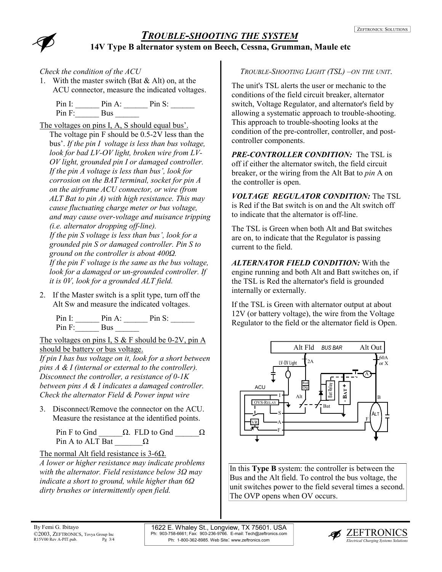

# *TROUBLE-SHOOTING THE SYSTEM* **14V Type B alternator system on Beech, Cessna, Grumman, Maule etc**

*Check the condition of the ACU*

1. With the master switch (Bat & Alt) on, at the ACU connector, measure the indicated voltages.

| Pin I:    | Pin $A^T$ | $Pin S^1$ |
|-----------|-----------|-----------|
| $Pin F$ : | Bus       |           |

The voltages on pins I, A, S should equal bus'.

The voltage pin F should be 0.5-2V less than the bus'. *If the pin I voltage is less than bus voltage, look for bad LV-OV light, broken wire from LV-OV light, grounded pin I or damaged controller. If the pin A voltage is less than bus', look for corrosion on the BAT terminal, socket for pin A on the airframe ACU connector, or wire (from ALT Bat to pin A) with high resistance. This may cause fluctuating charge meter or bus voltage, and may cause over-voltage and nuisance tripping (i.e. alternator dropping off-line). If the pin S voltage is less than bus', look for a grounded pin S or damaged controller. Pin S to ground on the controller is about 400Ω. If the pin F voltage is the same as the bus voltage, look for a damaged or un-grounded controller. If it is 0V, look for a grounded ALT field.* 

2. If the Master switch is a split type, turn off the Alt Sw and measure the indicated voltages.

Pin I:  $\quad \text{Pin A:} \quad \text{Pin S:}$  $Pin F:$  Bus

The voltages on pins I, S  $&$  F should be 0-2V, pin A should be battery or bus voltage.

*If pin I has bus voltage on it, look for a short between pins A & I (internal or external to the controller). Disconnect the controller, a resistance of 0-1K between pins A & I indicates a damaged controller. Check the alternator Field & Power input wire* 

3. Disconnect/Remove the connector on the ACU. Measure the resistance at the identified points.

Pin F to Gnd  $\Box$  Q. FLD to Gnd  $\Box$  Q. Pin A to ALT Bat  $\Omega$ 

The normal Alt field resistance is 3-6Ω.

*A lower or higher resistance may indicate problems with the alternator. Field resistance below 3Ω may indicate a short to ground, while higher than 6Ω dirty brushes or intermittently open field.* 

### *TROUBLE-SHOOTING LIGHT (TSL) –ON THE UNIT*.

The unit's TSL alerts the user or mechanic to the conditions of the field circuit breaker, alternator switch, Voltage Regulator, and alternator's field by allowing a systematic approach to trouble-shooting. This approach to trouble-shooting looks at the condition of the pre-controller, controller, and postcontroller components.

*PRE-CONTROLLER CONDITION:* The TSL is off if either the alternator switch, the field circuit breaker, or the wiring from the Alt Bat to *pin* A on the controller is open.

*VOLTAGE REGULATOR CONDITION:* The TSL is Red if the Bat switch is on and the Alt switch off to indicate that the alternator is off-line.

The TSL is Green when both Alt and Bat switches are on, to indicate that the Regulator is passing current to the field.

*ALTERNATOR FIELD CONDITION:* With the engine running and both Alt and Batt switches on, if the TSL is Red the alternator's field is grounded internally or externally.

If the TSL is Green with alternator output at about 12V (or battery voltage), the wire from the Voltage Regulator to the field or the alternator field is Open.



In this **Type B** system: the controller is between the Bus and the Alt field. To control the bus voltage, the unit switches power to the field several times a second. The OVP opens when OV occurs.